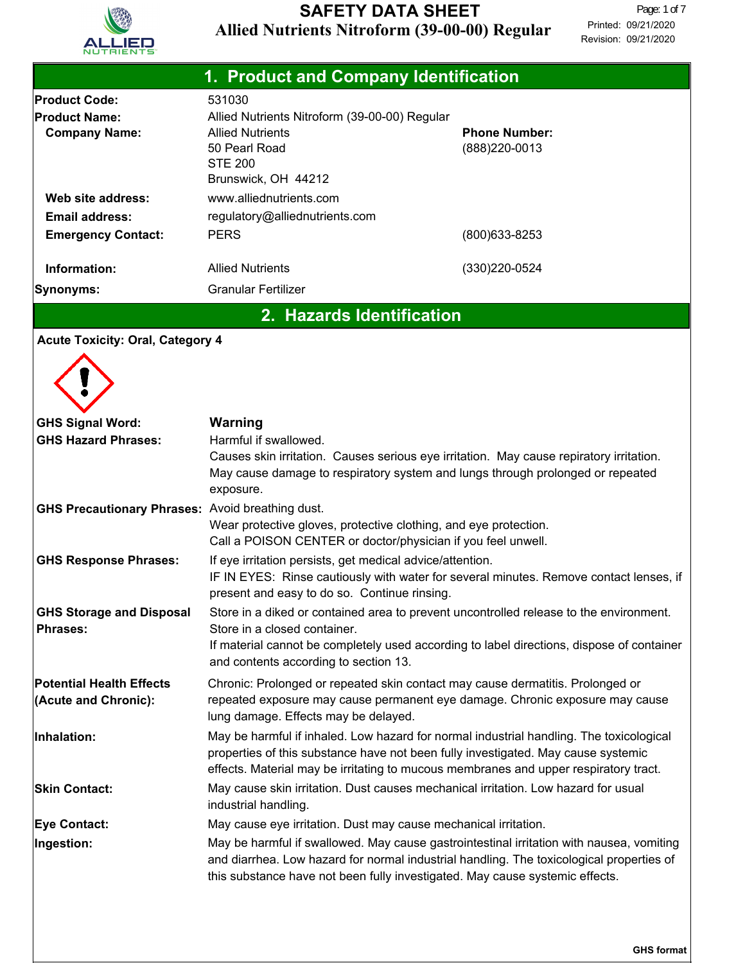

| 1. Product and Company Identification                                   |                                                                                                                                                                                                                                                                      |                                        |  |  |
|-------------------------------------------------------------------------|----------------------------------------------------------------------------------------------------------------------------------------------------------------------------------------------------------------------------------------------------------------------|----------------------------------------|--|--|
| <b>Product Code:</b><br><b>Product Name:</b><br><b>Company Name:</b>    | 531030<br>Allied Nutrients Nitroform (39-00-00) Regular<br><b>Allied Nutrients</b><br>50 Pearl Road<br><b>STE 200</b><br>Brunswick, OH 44212                                                                                                                         | <b>Phone Number:</b><br>(888) 220-0013 |  |  |
| Web site address:<br><b>Email address:</b><br><b>Emergency Contact:</b> | www.alliednutrients.com<br>regulatory@alliednutrients.com<br><b>PERS</b>                                                                                                                                                                                             | (800) 633-8253                         |  |  |
| Information:                                                            | <b>Allied Nutrients</b>                                                                                                                                                                                                                                              | (330) 220-0524                         |  |  |
| Synonyms:                                                               | <b>Granular Fertilizer</b>                                                                                                                                                                                                                                           |                                        |  |  |
| <b>Acute Toxicity: Oral, Category 4</b>                                 | 2. Hazards Identification                                                                                                                                                                                                                                            |                                        |  |  |
| <b>GHS Signal Word:</b><br><b>GHS Hazard Phrases:</b>                   | <b>Warning</b><br>Harmful if swallowed.<br>Causes skin irritation. Causes serious eye irritation. May cause repiratory irritation.<br>May cause damage to respiratory system and lungs through prolonged or repeated<br>exposure.                                    |                                        |  |  |
| <b>GHS Precautionary Phrases: Avoid breathing dust.</b>                 | Wear protective gloves, protective clothing, and eye protection.<br>Call a POISON CENTER or doctor/physician if you feel unwell.                                                                                                                                     |                                        |  |  |
| <b>GHS Response Phrases:</b>                                            | If eye irritation persists, get medical advice/attention.<br>IF IN EYES: Rinse cautiously with water for several minutes. Remove contact lenses, if<br>present and easy to do so. Continue rinsing.                                                                  |                                        |  |  |
| <b>GHS Storage and Disposal</b><br><b>Phrases:</b>                      | Store in a diked or contained area to prevent uncontrolled release to the environment.<br>Store in a closed container.<br>If material cannot be completely used according to label directions, dispose of container<br>and contents according to section 13.         |                                        |  |  |
| <b>Potential Health Effects</b><br>(Acute and Chronic):                 | Chronic: Prolonged or repeated skin contact may cause dermatitis. Prolonged or<br>repeated exposure may cause permanent eye damage. Chronic exposure may cause<br>lung damage. Effects may be delayed.                                                               |                                        |  |  |
| Inhalation:                                                             | May be harmful if inhaled. Low hazard for normal industrial handling. The toxicological<br>properties of this substance have not been fully investigated. May cause systemic<br>effects. Material may be irritating to mucous membranes and upper respiratory tract. |                                        |  |  |
| <b>Skin Contact:</b>                                                    | May cause skin irritation. Dust causes mechanical irritation. Low hazard for usual<br>industrial handling.                                                                                                                                                           |                                        |  |  |
| <b>Eye Contact:</b>                                                     | May cause eye irritation. Dust may cause mechanical irritation.                                                                                                                                                                                                      |                                        |  |  |
| Ingestion:                                                              | May be harmful if swallowed. May cause gastrointestinal irritation with nausea, vomiting<br>and diarrhea. Low hazard for normal industrial handling. The toxicological properties of<br>this substance have not been fully investigated. May cause systemic effects. |                                        |  |  |

**GHS format**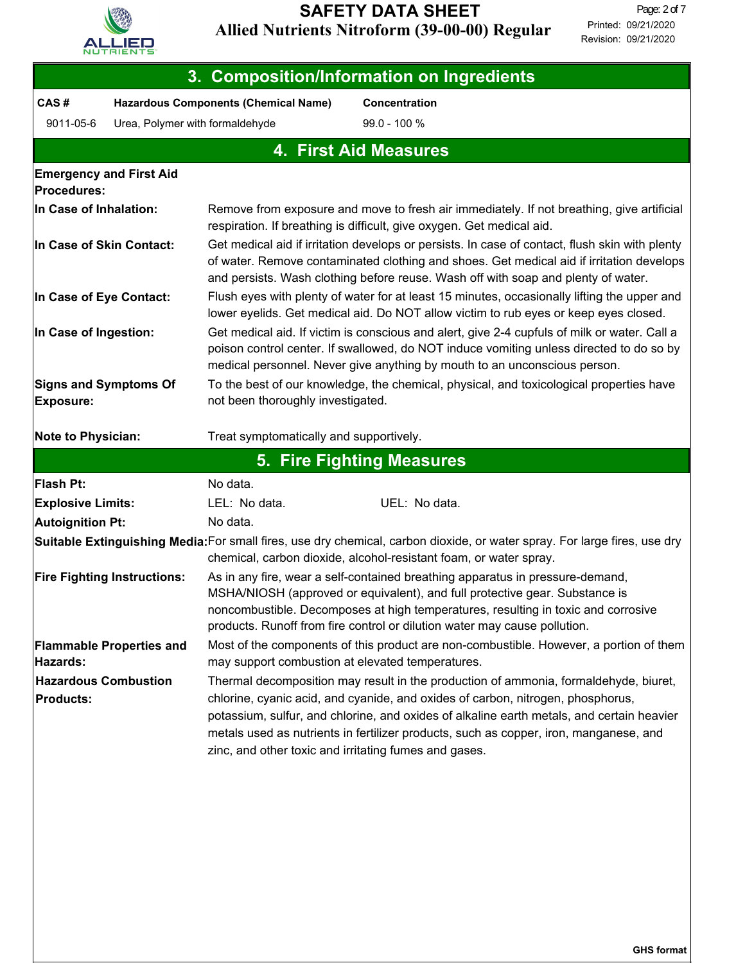

| 3. Composition/Information on Ingredients            |                                    |                                                                                                                                                                                                                                                                                                                                |                                                                                                                                                                                               |  |  |  |
|------------------------------------------------------|------------------------------------|--------------------------------------------------------------------------------------------------------------------------------------------------------------------------------------------------------------------------------------------------------------------------------------------------------------------------------|-----------------------------------------------------------------------------------------------------------------------------------------------------------------------------------------------|--|--|--|
| CAS#                                                 |                                    | <b>Hazardous Components (Chemical Name)</b>                                                                                                                                                                                                                                                                                    | <b>Concentration</b>                                                                                                                                                                          |  |  |  |
| 9011-05-6                                            | Urea, Polymer with formaldehyde    |                                                                                                                                                                                                                                                                                                                                | 99.0 - 100 %                                                                                                                                                                                  |  |  |  |
|                                                      | <b>4. First Aid Measures</b>       |                                                                                                                                                                                                                                                                                                                                |                                                                                                                                                                                               |  |  |  |
| <b>Emergency and First Aid</b><br><b>Procedures:</b> |                                    |                                                                                                                                                                                                                                                                                                                                |                                                                                                                                                                                               |  |  |  |
| In Case of Inhalation:                               |                                    |                                                                                                                                                                                                                                                                                                                                | Remove from exposure and move to fresh air immediately. If not breathing, give artificial<br>respiration. If breathing is difficult, give oxygen. Get medical aid.                            |  |  |  |
| In Case of Skin Contact:                             |                                    | Get medical aid if irritation develops or persists. In case of contact, flush skin with plenty<br>of water. Remove contaminated clothing and shoes. Get medical aid if irritation develops<br>and persists. Wash clothing before reuse. Wash off with soap and plenty of water.                                                |                                                                                                                                                                                               |  |  |  |
| In Case of Eye Contact:                              |                                    |                                                                                                                                                                                                                                                                                                                                | Flush eyes with plenty of water for at least 15 minutes, occasionally lifting the upper and<br>lower eyelids. Get medical aid. Do NOT allow victim to rub eyes or keep eyes closed.           |  |  |  |
| In Case of Ingestion:                                |                                    | Get medical aid. If victim is conscious and alert, give 2-4 cupfuls of milk or water. Call a<br>poison control center. If swallowed, do NOT induce vomiting unless directed to do so by<br>medical personnel. Never give anything by mouth to an unconscious person.                                                           |                                                                                                                                                                                               |  |  |  |
| <b>Signs and Symptoms Of</b><br><b>Exposure:</b>     |                                    | To the best of our knowledge, the chemical, physical, and toxicological properties have<br>not been thoroughly investigated.                                                                                                                                                                                                   |                                                                                                                                                                                               |  |  |  |
| <b>Note to Physician:</b>                            |                                    | Treat symptomatically and supportively.                                                                                                                                                                                                                                                                                        |                                                                                                                                                                                               |  |  |  |
|                                                      |                                    |                                                                                                                                                                                                                                                                                                                                | 5. Fire Fighting Measures                                                                                                                                                                     |  |  |  |
| <b>Flash Pt:</b>                                     |                                    | No data.                                                                                                                                                                                                                                                                                                                       |                                                                                                                                                                                               |  |  |  |
| <b>Explosive Limits:</b>                             |                                    | LEL: No data.                                                                                                                                                                                                                                                                                                                  | UEL: No data.                                                                                                                                                                                 |  |  |  |
| <b>Autoignition Pt:</b>                              |                                    | No data.                                                                                                                                                                                                                                                                                                                       |                                                                                                                                                                                               |  |  |  |
|                                                      |                                    |                                                                                                                                                                                                                                                                                                                                | Suitable Extinguishing Media:For small fires, use dry chemical, carbon dioxide, or water spray. For large fires, use dry<br>chemical, carbon dioxide, alcohol-resistant foam, or water spray. |  |  |  |
|                                                      | <b>Fire Fighting Instructions:</b> | As in any fire, wear a self-contained breathing apparatus in pressure-demand,<br>MSHA/NIOSH (approved or equivalent), and full protective gear. Substance is<br>noncombustible. Decomposes at high temperatures, resulting in toxic and corrosive<br>products. Runoff from fire control or dilution water may cause pollution. |                                                                                                                                                                                               |  |  |  |
| Hazards:                                             | <b>Flammable Properties and</b>    | Most of the components of this product are non-combustible. However, a portion of them<br>may support combustion at elevated temperatures.                                                                                                                                                                                     |                                                                                                                                                                                               |  |  |  |
| <b>Hazardous Combustion</b>                          |                                    |                                                                                                                                                                                                                                                                                                                                | Thermal decomposition may result in the production of ammonia, formaldehyde, biuret,                                                                                                          |  |  |  |
| <b>Products:</b>                                     |                                    | chlorine, cyanic acid, and cyanide, and oxides of carbon, nitrogen, phosphorus,<br>potassium, sulfur, and chlorine, and oxides of alkaline earth metals, and certain heavier<br>metals used as nutrients in fertilizer products, such as copper, iron, manganese, and<br>zinc, and other toxic and irritating fumes and gases. |                                                                                                                                                                                               |  |  |  |
|                                                      |                                    |                                                                                                                                                                                                                                                                                                                                |                                                                                                                                                                                               |  |  |  |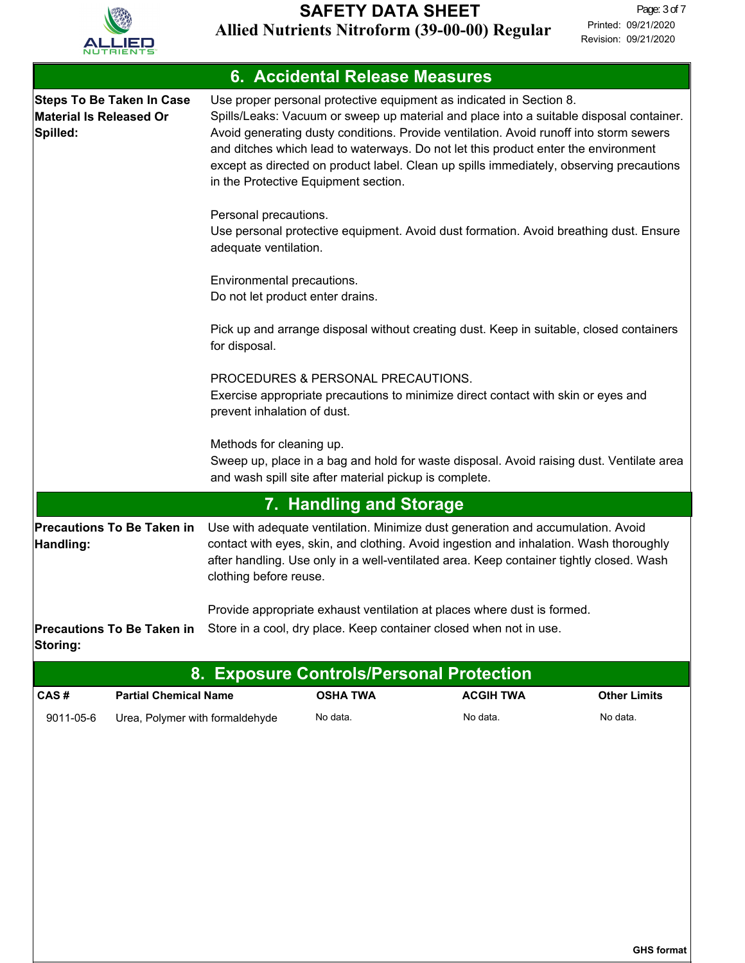

| 6. Accidental Release Measures                                                 |                                                                                                                                                                                                                                                                                                                                                                                                                                                                                   |  |  |  |  |
|--------------------------------------------------------------------------------|-----------------------------------------------------------------------------------------------------------------------------------------------------------------------------------------------------------------------------------------------------------------------------------------------------------------------------------------------------------------------------------------------------------------------------------------------------------------------------------|--|--|--|--|
| <b>Steps To Be Taken In Case</b><br><b>Material Is Released Or</b><br>Spilled: | Use proper personal protective equipment as indicated in Section 8.<br>Spills/Leaks: Vacuum or sweep up material and place into a suitable disposal container.<br>Avoid generating dusty conditions. Provide ventilation. Avoid runoff into storm sewers<br>and ditches which lead to waterways. Do not let this product enter the environment<br>except as directed on product label. Clean up spills immediately, observing precautions<br>in the Protective Equipment section. |  |  |  |  |
|                                                                                | Personal precautions.<br>Use personal protective equipment. Avoid dust formation. Avoid breathing dust. Ensure<br>adequate ventilation.                                                                                                                                                                                                                                                                                                                                           |  |  |  |  |
|                                                                                | Environmental precautions.<br>Do not let product enter drains.                                                                                                                                                                                                                                                                                                                                                                                                                    |  |  |  |  |
|                                                                                | Pick up and arrange disposal without creating dust. Keep in suitable, closed containers<br>for disposal.                                                                                                                                                                                                                                                                                                                                                                          |  |  |  |  |
|                                                                                | PROCEDURES & PERSONAL PRECAUTIONS.<br>Exercise appropriate precautions to minimize direct contact with skin or eyes and<br>prevent inhalation of dust.                                                                                                                                                                                                                                                                                                                            |  |  |  |  |
|                                                                                | Methods for cleaning up.<br>Sweep up, place in a bag and hold for waste disposal. Avoid raising dust. Ventilate area<br>and wash spill site after material pickup is complete.                                                                                                                                                                                                                                                                                                    |  |  |  |  |
| 7. Handling and Storage                                                        |                                                                                                                                                                                                                                                                                                                                                                                                                                                                                   |  |  |  |  |
| Precautions To Be Taken in<br>Handling:                                        | Use with adequate ventilation. Minimize dust generation and accumulation. Avoid<br>contact with eyes, skin, and clothing. Avoid ingestion and inhalation. Wash thoroughly<br>after handling. Use only in a well-ventilated area. Keep container tightly closed. Wash<br>clothing before reuse.                                                                                                                                                                                    |  |  |  |  |
| <b>Precautions To Be Taken in</b><br>Storing:                                  | Provide appropriate exhaust ventilation at places where dust is formed.<br>Store in a cool, dry place. Keep container closed when not in use.                                                                                                                                                                                                                                                                                                                                     |  |  |  |  |

| 8. Exposure Controls/Personal Protection \ |                                 |                 |                  |                     |  |
|--------------------------------------------|---------------------------------|-----------------|------------------|---------------------|--|
| CAS #                                      | <b>Partial Chemical Name</b>    | <b>OSHA TWA</b> | <b>ACGIH TWA</b> | <b>Other Limits</b> |  |
| 9011-05-6                                  | Urea, Polymer with formaldehyde | No data.        | No data.         | No data.            |  |

**GHS format**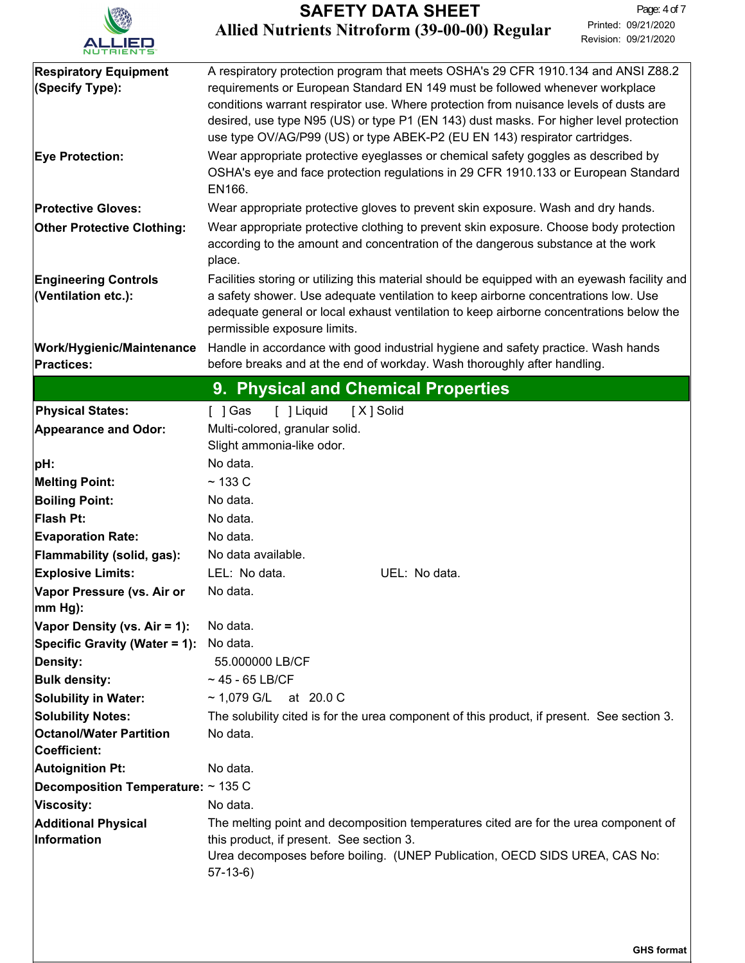

| <b>Respiratory Equipment</b>                        | A respiratory protection program that meets OSHA's 29 CFR 1910.134 and ANSI Z88.2                                                                                                                             |  |  |  |  |
|-----------------------------------------------------|---------------------------------------------------------------------------------------------------------------------------------------------------------------------------------------------------------------|--|--|--|--|
| (Specify Type):                                     | requirements or European Standard EN 149 must be followed whenever workplace                                                                                                                                  |  |  |  |  |
|                                                     | conditions warrant respirator use. Where protection from nuisance levels of dusts are                                                                                                                         |  |  |  |  |
|                                                     | desired, use type N95 (US) or type P1 (EN 143) dust masks. For higher level protection<br>use type OV/AG/P99 (US) or type ABEK-P2 (EU EN 143) respirator cartridges.                                          |  |  |  |  |
| <b>Eye Protection:</b>                              | Wear appropriate protective eyeglasses or chemical safety goggles as described by                                                                                                                             |  |  |  |  |
|                                                     | OSHA's eye and face protection regulations in 29 CFR 1910.133 or European Standard<br>EN166.                                                                                                                  |  |  |  |  |
| <b>Protective Gloves:</b>                           | Wear appropriate protective gloves to prevent skin exposure. Wash and dry hands.                                                                                                                              |  |  |  |  |
| <b>Other Protective Clothing:</b>                   | Wear appropriate protective clothing to prevent skin exposure. Choose body protection<br>according to the amount and concentration of the dangerous substance at the work<br>place.                           |  |  |  |  |
| <b>Engineering Controls</b>                         | Facilities storing or utilizing this material should be equipped with an eyewash facility and                                                                                                                 |  |  |  |  |
| (Ventilation etc.):                                 | a safety shower. Use adequate ventilation to keep airborne concentrations low. Use<br>adequate general or local exhaust ventilation to keep airborne concentrations below the<br>permissible exposure limits. |  |  |  |  |
| <b>Work/Hygienic/Maintenance</b>                    | Handle in accordance with good industrial hygiene and safety practice. Wash hands                                                                                                                             |  |  |  |  |
| <b>Practices:</b>                                   | before breaks and at the end of workday. Wash thoroughly after handling.                                                                                                                                      |  |  |  |  |
|                                                     | 9. Physical and Chemical Properties                                                                                                                                                                           |  |  |  |  |
| <b>Physical States:</b>                             | [ ] Gas<br>[ ] Liquid<br>[X] Solid                                                                                                                                                                            |  |  |  |  |
| <b>Appearance and Odor:</b>                         | Multi-colored, granular solid.                                                                                                                                                                                |  |  |  |  |
|                                                     | Slight ammonia-like odor.                                                                                                                                                                                     |  |  |  |  |
| pH:                                                 | No data.                                                                                                                                                                                                      |  |  |  |  |
| <b>Melting Point:</b>                               | $~133$ C                                                                                                                                                                                                      |  |  |  |  |
| <b>Boiling Point:</b>                               | No data.                                                                                                                                                                                                      |  |  |  |  |
| Flash Pt:                                           | No data.                                                                                                                                                                                                      |  |  |  |  |
| <b>Evaporation Rate:</b>                            | No data.                                                                                                                                                                                                      |  |  |  |  |
| Flammability (solid, gas):                          | No data available.                                                                                                                                                                                            |  |  |  |  |
| <b>Explosive Limits:</b>                            | LEL: No data.<br>UEL: No data.                                                                                                                                                                                |  |  |  |  |
| Vapor Pressure (vs. Air or                          | No data.                                                                                                                                                                                                      |  |  |  |  |
| $ mm Hg$ :                                          |                                                                                                                                                                                                               |  |  |  |  |
| Vapor Density (vs. Air = 1):                        | No data.                                                                                                                                                                                                      |  |  |  |  |
| Specific Gravity (Water = 1):                       | No data.<br>55.000000 LB/CF                                                                                                                                                                                   |  |  |  |  |
| Density:                                            | $~1$ 45 - 65 LB/CF                                                                                                                                                                                            |  |  |  |  |
| <b>Bulk density:</b><br><b>Solubility in Water:</b> | ~ 1,079 G/L at 20.0 C                                                                                                                                                                                         |  |  |  |  |
| <b>Solubility Notes:</b>                            | The solubility cited is for the urea component of this product, if present. See section 3.                                                                                                                    |  |  |  |  |
| <b>Octanol/Water Partition</b>                      | No data.                                                                                                                                                                                                      |  |  |  |  |
| Coefficient:                                        |                                                                                                                                                                                                               |  |  |  |  |
| Autoignition Pt:                                    | No data.                                                                                                                                                                                                      |  |  |  |  |
| <b>Decomposition Temperature:</b> $\sim$ 135 C      |                                                                                                                                                                                                               |  |  |  |  |
| Viscosity:                                          | No data.                                                                                                                                                                                                      |  |  |  |  |
| <b>Additional Physical</b>                          | The melting point and decomposition temperatures cited are for the urea component of                                                                                                                          |  |  |  |  |
| Information                                         | this product, if present. See section 3.<br>Urea decomposes before boiling. (UNEP Publication, OECD SIDS UREA, CAS No:<br>$57-13-6$                                                                           |  |  |  |  |
|                                                     |                                                                                                                                                                                                               |  |  |  |  |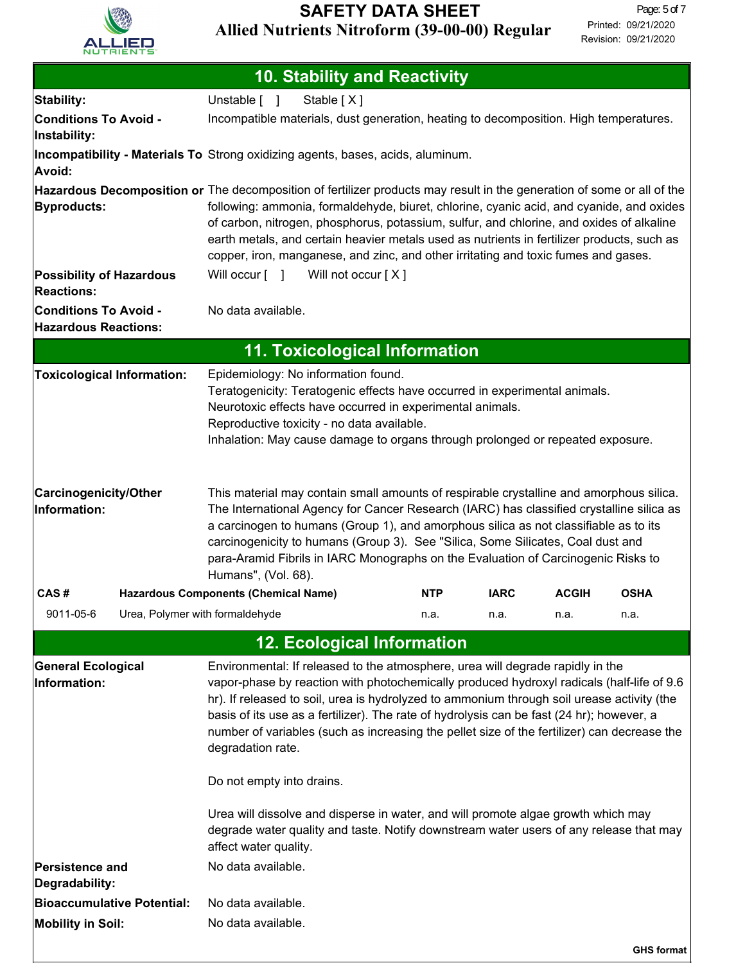

| <b>10. Stability and Reactivity</b>                                                                                    |                                                                                                                                                                                                                                                                                                                                                                                                                                                                            |                                                                                                                                                                                                                                                                                                                                                                                                                                                                                                                                                            |            |             |              |                   |
|------------------------------------------------------------------------------------------------------------------------|----------------------------------------------------------------------------------------------------------------------------------------------------------------------------------------------------------------------------------------------------------------------------------------------------------------------------------------------------------------------------------------------------------------------------------------------------------------------------|------------------------------------------------------------------------------------------------------------------------------------------------------------------------------------------------------------------------------------------------------------------------------------------------------------------------------------------------------------------------------------------------------------------------------------------------------------------------------------------------------------------------------------------------------------|------------|-------------|--------------|-------------------|
| Stability:                                                                                                             | Unstable [ ]                                                                                                                                                                                                                                                                                                                                                                                                                                                               | Stable [X]                                                                                                                                                                                                                                                                                                                                                                                                                                                                                                                                                 |            |             |              |                   |
| <b>Conditions To Avoid -</b><br>Instability:                                                                           |                                                                                                                                                                                                                                                                                                                                                                                                                                                                            | Incompatible materials, dust generation, heating to decomposition. High temperatures.                                                                                                                                                                                                                                                                                                                                                                                                                                                                      |            |             |              |                   |
| Avoid:                                                                                                                 | Incompatibility - Materials To Strong oxidizing agents, bases, acids, aluminum.                                                                                                                                                                                                                                                                                                                                                                                            |                                                                                                                                                                                                                                                                                                                                                                                                                                                                                                                                                            |            |             |              |                   |
| Hazardous Decomposition or The decomposition of fertilizer products may result in the generation of some or all of the |                                                                                                                                                                                                                                                                                                                                                                                                                                                                            |                                                                                                                                                                                                                                                                                                                                                                                                                                                                                                                                                            |            |             |              |                   |
| Byproducts:                                                                                                            | following: ammonia, formaldehyde, biuret, chlorine, cyanic acid, and cyanide, and oxides<br>of carbon, nitrogen, phosphorus, potassium, sulfur, and chlorine, and oxides of alkaline<br>earth metals, and certain heavier metals used as nutrients in fertilizer products, such as<br>copper, iron, manganese, and zinc, and other irritating and toxic fumes and gases.                                                                                                   |                                                                                                                                                                                                                                                                                                                                                                                                                                                                                                                                                            |            |             |              |                   |
| <b>Possibility of Hazardous</b>                                                                                        |                                                                                                                                                                                                                                                                                                                                                                                                                                                                            | Will occur [ ] Will not occur [X]                                                                                                                                                                                                                                                                                                                                                                                                                                                                                                                          |            |             |              |                   |
| <b>Reactions:</b><br><b>Conditions To Avoid -</b><br><b>Hazardous Reactions:</b>                                       | No data available.                                                                                                                                                                                                                                                                                                                                                                                                                                                         |                                                                                                                                                                                                                                                                                                                                                                                                                                                                                                                                                            |            |             |              |                   |
|                                                                                                                        |                                                                                                                                                                                                                                                                                                                                                                                                                                                                            | <b>11. Toxicological Information</b>                                                                                                                                                                                                                                                                                                                                                                                                                                                                                                                       |            |             |              |                   |
| <b>Toxicological Information:</b>                                                                                      | Epidemiology: No information found.<br>Teratogenicity: Teratogenic effects have occurred in experimental animals.<br>Neurotoxic effects have occurred in experimental animals.<br>Reproductive toxicity - no data available.<br>Inhalation: May cause damage to organs through prolonged or repeated exposure.                                                                                                                                                             |                                                                                                                                                                                                                                                                                                                                                                                                                                                                                                                                                            |            |             |              |                   |
| <b>Carcinogenicity/Other</b><br>Information:                                                                           | This material may contain small amounts of respirable crystalline and amorphous silica.<br>The International Agency for Cancer Research (IARC) has classified crystalline silica as<br>a carcinogen to humans (Group 1), and amorphous silica as not classifiable as to its<br>carcinogenicity to humans (Group 3). See "Silica, Some Silicates, Coal dust and<br>para-Aramid Fibrils in IARC Monographs on the Evaluation of Carcinogenic Risks to<br>Humans", (Vol. 68). |                                                                                                                                                                                                                                                                                                                                                                                                                                                                                                                                                            |            |             |              |                   |
| CAS#                                                                                                                   | <b>Hazardous Components (Chemical Name)</b>                                                                                                                                                                                                                                                                                                                                                                                                                                |                                                                                                                                                                                                                                                                                                                                                                                                                                                                                                                                                            | <b>NTP</b> | <b>IARC</b> | <b>ACGIH</b> | <b>OSHA</b>       |
| Urea, Polymer with formaldehyde<br>9011-05-6                                                                           |                                                                                                                                                                                                                                                                                                                                                                                                                                                                            |                                                                                                                                                                                                                                                                                                                                                                                                                                                                                                                                                            | n.a.       | n.a.        | n.a.         | n.a.              |
|                                                                                                                        |                                                                                                                                                                                                                                                                                                                                                                                                                                                                            | <b>12. Ecological Information</b>                                                                                                                                                                                                                                                                                                                                                                                                                                                                                                                          |            |             |              |                   |
| <b>General Ecological</b><br>Information:                                                                              | degradation rate.<br>Do not empty into drains.                                                                                                                                                                                                                                                                                                                                                                                                                             | Environmental: If released to the atmosphere, urea will degrade rapidly in the<br>vapor-phase by reaction with photochemically produced hydroxyl radicals (half-life of 9.6<br>hr). If released to soil, urea is hydrolyzed to ammonium through soil urease activity (the<br>basis of its use as a fertilizer). The rate of hydrolysis can be fast (24 hr); however, a<br>number of variables (such as increasing the pellet size of the fertilizer) can decrease the<br>Urea will dissolve and disperse in water, and will promote algae growth which may |            |             |              |                   |
|                                                                                                                        | affect water quality.                                                                                                                                                                                                                                                                                                                                                                                                                                                      | degrade water quality and taste. Notify downstream water users of any release that may                                                                                                                                                                                                                                                                                                                                                                                                                                                                     |            |             |              |                   |
| Persistence and<br>Degradability:                                                                                      | No data available.                                                                                                                                                                                                                                                                                                                                                                                                                                                         |                                                                                                                                                                                                                                                                                                                                                                                                                                                                                                                                                            |            |             |              |                   |
| <b>Bioaccumulative Potential:</b>                                                                                      | No data available.                                                                                                                                                                                                                                                                                                                                                                                                                                                         |                                                                                                                                                                                                                                                                                                                                                                                                                                                                                                                                                            |            |             |              |                   |
| <b>Mobility in Soil:</b>                                                                                               | No data available.                                                                                                                                                                                                                                                                                                                                                                                                                                                         |                                                                                                                                                                                                                                                                                                                                                                                                                                                                                                                                                            |            |             |              |                   |
|                                                                                                                        |                                                                                                                                                                                                                                                                                                                                                                                                                                                                            |                                                                                                                                                                                                                                                                                                                                                                                                                                                                                                                                                            |            |             |              | <b>GHS format</b> |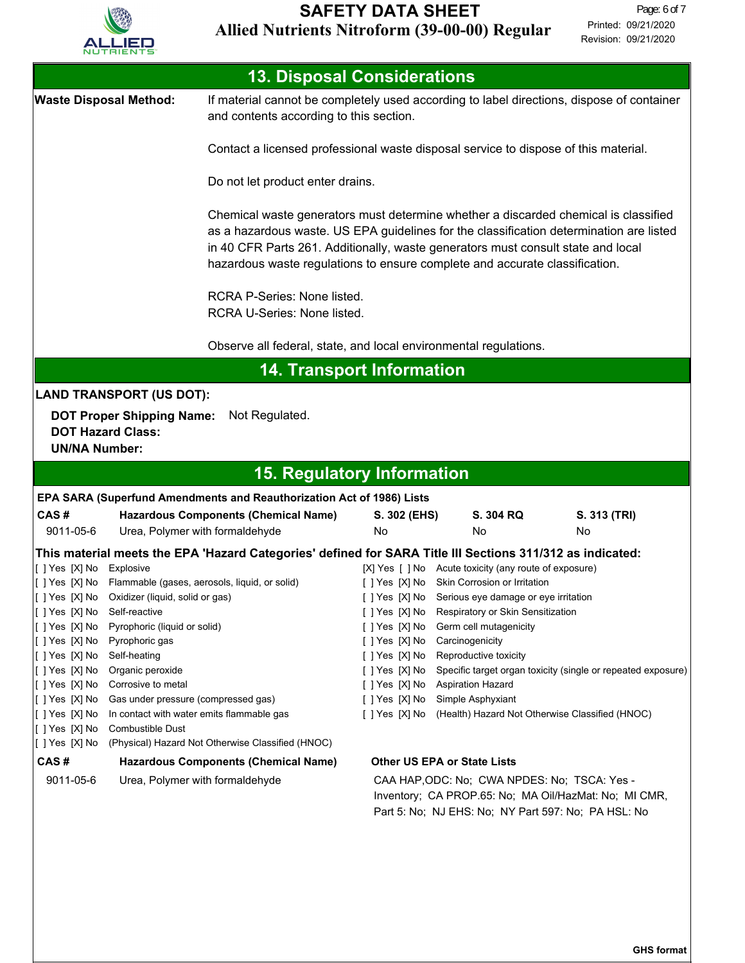

| <b>13. Disposal Considerations</b>                                                                        |                                                               |                                                                                                                                                                                                                                                                                                                                                   |                |                                                                                          |                                                              |  |
|-----------------------------------------------------------------------------------------------------------|---------------------------------------------------------------|---------------------------------------------------------------------------------------------------------------------------------------------------------------------------------------------------------------------------------------------------------------------------------------------------------------------------------------------------|----------------|------------------------------------------------------------------------------------------|--------------------------------------------------------------|--|
| <b>Waste Disposal Method:</b>                                                                             |                                                               | If material cannot be completely used according to label directions, dispose of container<br>and contents according to this section.                                                                                                                                                                                                              |                |                                                                                          |                                                              |  |
|                                                                                                           |                                                               | Contact a licensed professional waste disposal service to dispose of this material.                                                                                                                                                                                                                                                               |                |                                                                                          |                                                              |  |
|                                                                                                           |                                                               | Do not let product enter drains.                                                                                                                                                                                                                                                                                                                  |                |                                                                                          |                                                              |  |
|                                                                                                           |                                                               | Chemical waste generators must determine whether a discarded chemical is classified<br>as a hazardous waste. US EPA guidelines for the classification determination are listed<br>in 40 CFR Parts 261. Additionally, waste generators must consult state and local<br>hazardous waste regulations to ensure complete and accurate classification. |                |                                                                                          |                                                              |  |
|                                                                                                           |                                                               | RCRA P-Series: None listed.<br>RCRA U-Series: None listed.                                                                                                                                                                                                                                                                                        |                |                                                                                          |                                                              |  |
|                                                                                                           |                                                               | Observe all federal, state, and local environmental regulations.                                                                                                                                                                                                                                                                                  |                |                                                                                          |                                                              |  |
|                                                                                                           |                                                               | <b>14. Transport Information</b>                                                                                                                                                                                                                                                                                                                  |                |                                                                                          |                                                              |  |
|                                                                                                           | <b>LAND TRANSPORT (US DOT):</b>                               |                                                                                                                                                                                                                                                                                                                                                   |                |                                                                                          |                                                              |  |
|                                                                                                           | <b>DOT Proper Shipping Name:</b>                              | Not Regulated.                                                                                                                                                                                                                                                                                                                                    |                |                                                                                          |                                                              |  |
| <b>DOT Hazard Class:</b>                                                                                  |                                                               |                                                                                                                                                                                                                                                                                                                                                   |                |                                                                                          |                                                              |  |
| <b>UN/NA Number:</b>                                                                                      |                                                               |                                                                                                                                                                                                                                                                                                                                                   |                |                                                                                          |                                                              |  |
|                                                                                                           |                                                               | <b>15. Regulatory Information</b>                                                                                                                                                                                                                                                                                                                 |                |                                                                                          |                                                              |  |
|                                                                                                           |                                                               | EPA SARA (Superfund Amendments and Reauthorization Act of 1986) Lists                                                                                                                                                                                                                                                                             |                |                                                                                          |                                                              |  |
| CAS#                                                                                                      |                                                               | <b>Hazardous Components (Chemical Name)</b>                                                                                                                                                                                                                                                                                                       | S. 302 (EHS)   | S. 304 RQ                                                                                | S. 313 (TRI)                                                 |  |
| 9011-05-6                                                                                                 | Urea, Polymer with formaldehyde                               |                                                                                                                                                                                                                                                                                                                                                   | No             | No                                                                                       | No                                                           |  |
| This material meets the EPA 'Hazard Categories' defined for SARA Title III Sections 311/312 as indicated: |                                                               |                                                                                                                                                                                                                                                                                                                                                   |                |                                                                                          |                                                              |  |
| [[] Yes [X] No Explosive                                                                                  |                                                               |                                                                                                                                                                                                                                                                                                                                                   |                | [X] Yes [ ] No Acute toxicity (any route of exposure)                                    |                                                              |  |
| []Yes [X] No                                                                                              |                                                               | Flammable (gases, aerosols, liquid, or solid)                                                                                                                                                                                                                                                                                                     | []Yes [X] No   | Skin Corrosion or Irritation                                                             |                                                              |  |
| [[] Yes [X] No                                                                                            | Self-reactive                                                 |                                                                                                                                                                                                                                                                                                                                                   | [ ] Yes [X] No | [ ] Yes [X] No Serious eye damage or eye irritation<br>Respiratory or Skin Sensitization |                                                              |  |
| [[ ] Yes [X] No                                                                                           | Pyrophoric (liquid or solid)                                  |                                                                                                                                                                                                                                                                                                                                                   | [ ] Yes [X] No | Germ cell mutagenicity                                                                   |                                                              |  |
| [[ ] Yes [X] No                                                                                           | Pyrophoric gas                                                |                                                                                                                                                                                                                                                                                                                                                   | [ ] Yes [X] No | Carcinogenicity                                                                          |                                                              |  |
| [ ] Yes [X] No                                                                                            | Self-heating                                                  |                                                                                                                                                                                                                                                                                                                                                   | [ ] Yes [X] No | Reproductive toxicity                                                                    |                                                              |  |
| [[ ] Yes [X] No                                                                                           | Organic peroxide                                              |                                                                                                                                                                                                                                                                                                                                                   | [ ] Yes [X] No |                                                                                          | Specific target organ toxicity (single or repeated exposure) |  |
| [[ ] Yes [X] No                                                                                           | Corrosive to metal                                            |                                                                                                                                                                                                                                                                                                                                                   | [ ] Yes [X] No | <b>Aspiration Hazard</b>                                                                 |                                                              |  |
| [[ ] Yes [X] No                                                                                           | Gas under pressure (compressed gas)                           |                                                                                                                                                                                                                                                                                                                                                   | [ ] Yes [X] No | Simple Asphyxiant                                                                        |                                                              |  |
| [[ ] Yes [X] No<br>[[] Yes [X] No                                                                         | In contact with water emits flammable gas<br>Combustible Dust |                                                                                                                                                                                                                                                                                                                                                   | [ ] Yes [X] No | (Health) Hazard Not Otherwise Classified (HNOC)                                          |                                                              |  |
| [[] Yes [X] No                                                                                            |                                                               | (Physical) Hazard Not Otherwise Classified (HNOC)                                                                                                                                                                                                                                                                                                 |                |                                                                                          |                                                              |  |
| CAS#                                                                                                      |                                                               | Hazardous Components (Chemical Name)                                                                                                                                                                                                                                                                                                              |                | <b>Other US EPA or State Lists</b>                                                       |                                                              |  |
| 9011-05-6                                                                                                 | Urea, Polymer with formaldehyde                               |                                                                                                                                                                                                                                                                                                                                                   |                | CAA HAP, ODC: No; CWA NPDES: No; TSCA: Yes -                                             |                                                              |  |
|                                                                                                           |                                                               |                                                                                                                                                                                                                                                                                                                                                   |                | Inventory; CA PROP.65: No; MA Oil/HazMat: No; MI CMR,                                    |                                                              |  |

Part 5: No; NJ EHS: No; NY Part 597: No; PA HSL: No